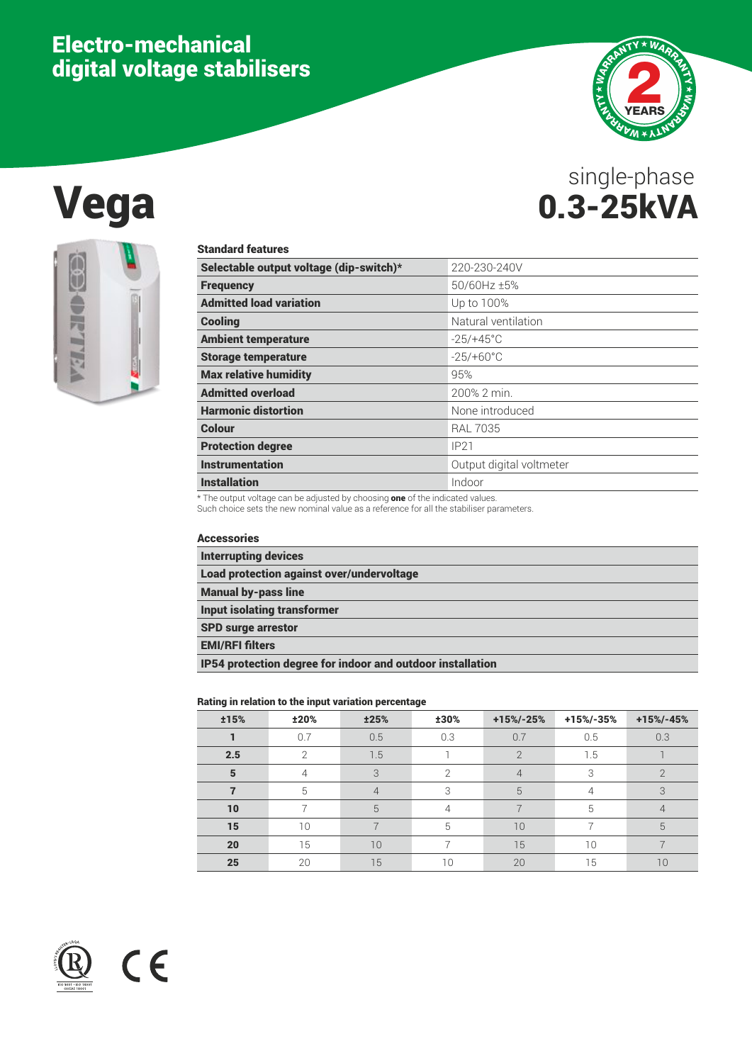## Electro-mechanical digital voltage stabilisers



# Vega 0.3-25kVA single-phase



| <b>Standard features</b>                |                          |
|-----------------------------------------|--------------------------|
| Selectable output voltage (dip-switch)* | 220-230-240V             |
| <b>Frequency</b>                        | 50/60Hz ±5%              |
| <b>Admitted load variation</b>          | Up to 100%               |
| <b>Cooling</b>                          | Natural ventilation      |
| <b>Ambient temperature</b>              | $-25/+45^{\circ}$ C      |
| <b>Storage temperature</b>              | $-25/+60^{\circ}$ C      |
| <b>Max relative humidity</b>            | 95%                      |
| <b>Admitted overload</b>                | 200% 2 min.              |
| <b>Harmonic distortion</b>              | None introduced          |
| Colour                                  | <b>RAL 7035</b>          |
| <b>Protection degree</b>                | IP21                     |
| <b>Instrumentation</b>                  | Output digital voltmeter |
| <b>Installation</b>                     | Indoor                   |

 $*$  The output voltage can be adjusted by choosing one of the indicated values.

Such choice sets the new nominal value as a reference for all the stabiliser parameters.

#### Accessories

 $C \in$ 

| <b>Interrupting devices</b>                                |
|------------------------------------------------------------|
| <b>Load protection against over/undervoltage</b>           |
| <b>Manual by-pass line</b>                                 |
| <b>Input isolating transformer</b>                         |
| <b>SPD surge arrestor</b>                                  |
| <b>EMI/RFI filters</b>                                     |
| IP54 protection degree for indoor and outdoor installation |

#### Rating in relation to the input variation percentage

| <b>±15%</b>    | ±20% | <b>±25%</b>    | ±30% | $+15% - 25%$   | $+15% - 35%$ | $+15% - 45%$    |
|----------------|------|----------------|------|----------------|--------------|-----------------|
|                | 0.7  | 0.5            | 0.3  | 0.7            | 0.5          | 0.3             |
| 2.5            | ◠    | 1.5            |      | $\mathcal{P}$  | 1.5          |                 |
| $5\phantom{1}$ | 4    | 3              | ⌒    | $\overline{4}$ | 3            | ⌒               |
|                | 5    | $\overline{4}$ | 3    | 5              | 4            | 3               |
| 10             |      | 5              |      |                | 5            | 4               |
| 15             | 10   |                | 5    | 10             |              | 5               |
| 20             | 15   | 10             |      | 15             | 10           |                 |
| 25             | 20   | 15             | 10   | 20             | 15           | 10 <sup>°</sup> |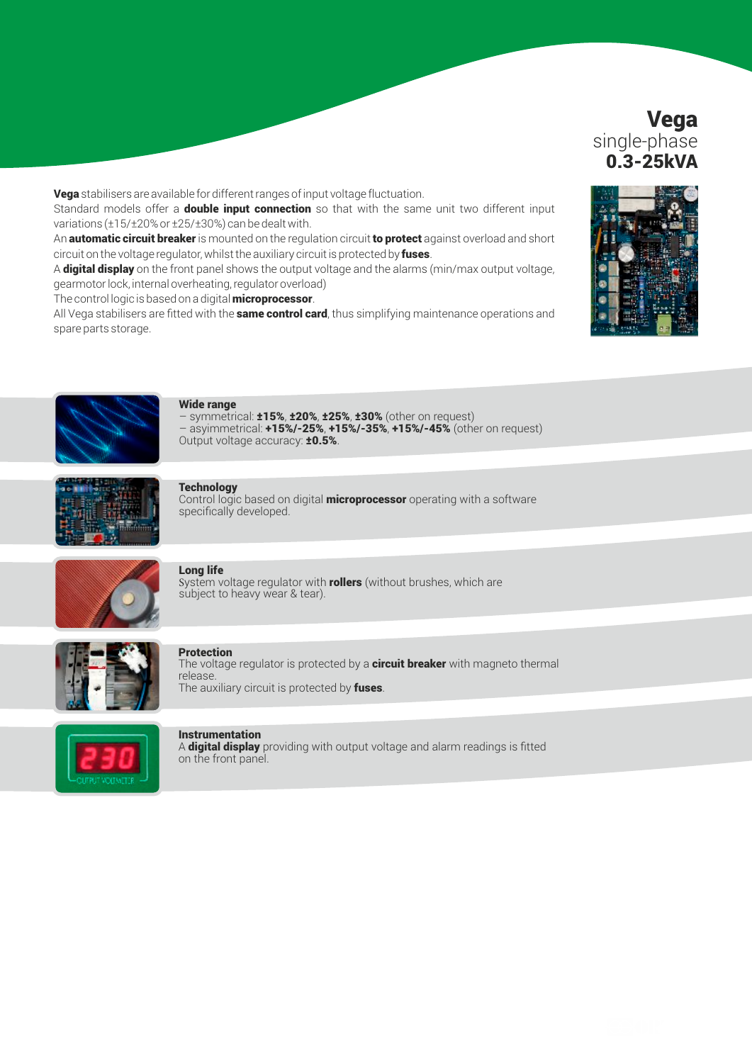### Vega single-phase 0.3-25kVA

Vega stabilisers are available for different ranges of input voltage fluctuation.

Standard models offer a **double input connection** so that with the same unit two different input variations (±15/±20% or ±25/±30%) can be dealt with.

An **automatic circuit breaker** is mounted on the regulation circuit to protect against overload and short circuit on the voltage regulator, whilst the auxiliary circuit is protected by fuses.

A digital display on the front panel shows the output voltage and the alarms (min/max output voltage, gearmotor lock, internal overheating, regulator overload)

The control logic is based on a digital **microprocessor**.

All Vega stabilisers are fitted with the **same control card**, thus simplifying maintenance operations and spare parts storage.





#### Wide range

symmetrical:  $\pm 15\%$ ,  $\pm 20\%$ ,  $\pm 25\%$ ,  $\pm 30\%$  (other on request)  $-$  asyimmetrical:  $+15\%$ /-25%,  $+15\%$ /-35%,  $+15\%$ /-45% (other on request) Output voltage accuracy: **±0.5%**.



#### **Technology**

Control logic based on digital **microprocessor** operating with a software specifically developed.



#### Long life

System voltage regulator with **rollers** (without brushes, which are subject to heavy wear & tear).



#### **Protection**

The voltage regulator is protected by a **circuit breaker** with magneto thermal release. The auxiliary circuit is protected by fuses.



#### **Instrumentation**

A **digital display** providing with output voltage and alarm readings is fitted on the front panel.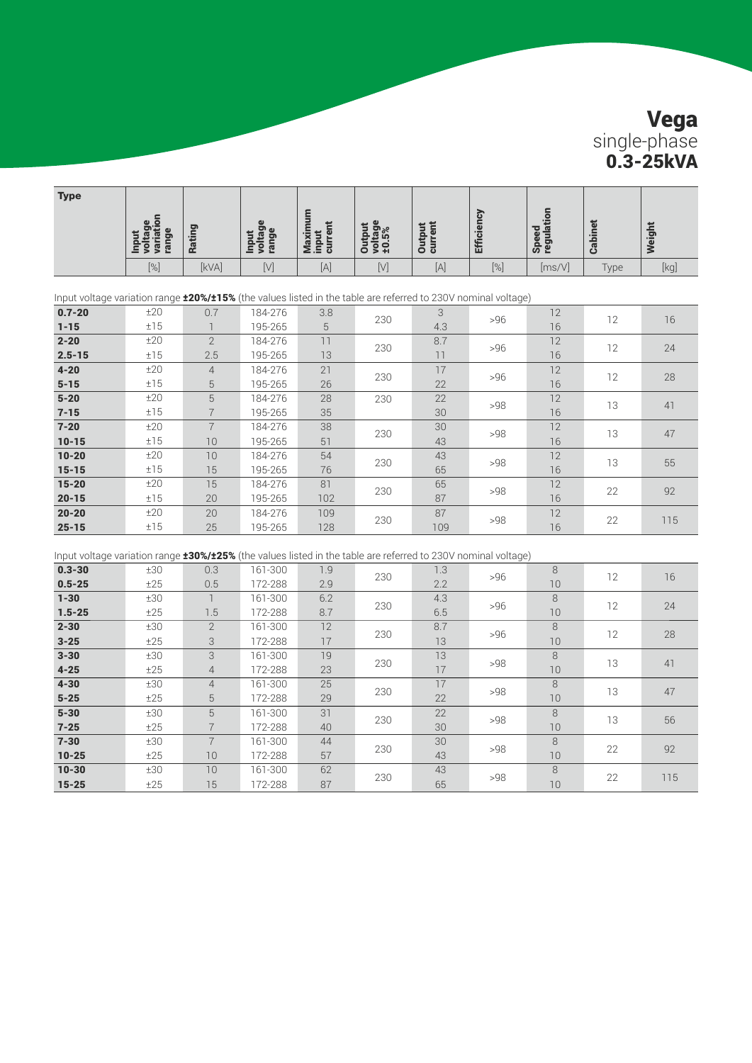## Vega single-phase 0.3-25kVA

| <b>Type</b>                                                                                                          |                                               |                           |                           |                             |                            |                          |                   |                     |                |        |
|----------------------------------------------------------------------------------------------------------------------|-----------------------------------------------|---------------------------|---------------------------|-----------------------------|----------------------------|--------------------------|-------------------|---------------------|----------------|--------|
|                                                                                                                      | voltage<br>variation<br>range<br><b>Input</b> | Rating                    | Input<br>voltage<br>range | Maximum<br>input<br>current | Output<br>voltage<br>±0.5% | <b>Output</b><br>current | <b>Efficiency</b> | Speed<br>regulation | <b>Cabinet</b> | Weight |
|                                                                                                                      | $[\%]$                                        | [kVA]                     | $[V]$                     | $[A]$                       | $[V]$                      | $[A]$                    | $[\%]$            | [ms/V]              | Type           | [kq]   |
|                                                                                                                      |                                               |                           |                           |                             |                            |                          |                   |                     |                |        |
| Input voltage variation range <b>±20%/±15%</b> (the values listed in the table are referred to 230V nominal voltage) |                                               |                           |                           |                             |                            |                          |                   |                     |                |        |
| $0.7 - 20$<br>$1 - 15$                                                                                               | ±20<br>±15                                    | 0.7                       | 184-276                   | 3.8<br>5                    | 230                        | 3<br>4.3                 | >96               | 12                  | 12             | 16     |
|                                                                                                                      |                                               | $\overline{1}$            | 195-265                   |                             |                            |                          |                   | 16                  |                |        |
| $2 - 20$                                                                                                             | ±20                                           | $\overline{2}$            | 184-276                   | 11                          | 230                        | 8.7                      | >96               | 12                  | 12             | 24     |
| $2.5 - 15$                                                                                                           | ±15                                           | 2.5                       | 195-265                   | 13                          |                            | 11                       |                   | 16                  |                |        |
| $4 - 20$                                                                                                             | ±20                                           | $\overline{4}$            | 184-276                   | 21                          | 230                        | 17                       | >96               | 12                  | 12             | 28     |
| $5 - 15$                                                                                                             | ±15                                           | 5                         | 195-265                   | 26                          |                            | 22                       |                   | 16                  |                |        |
| $5 - 20$                                                                                                             | ±20                                           | $\mathbf 5$               | 184-276                   | 28                          | 230                        | 22                       | >98               | 12                  | 13             | 41     |
| $7 - 15$                                                                                                             | ±15                                           | $\overline{7}$            | 195-265                   | 35                          |                            | 30                       |                   | 16                  |                |        |
| $7 - 20$                                                                                                             | ±20                                           | $\overline{7}$            | 184-276                   | 38                          | 230                        | 30                       | >98               | 12                  | 13             | 47     |
| $10 - 15$                                                                                                            | ±15                                           | 10                        | 195-265                   | 51                          |                            | 43                       |                   | 16                  |                |        |
| $10 - 20$                                                                                                            | ±20                                           | 10                        | 184-276                   | 54                          | 230                        | 43                       | >98               | 12                  | 13             | 55     |
| $15 - 15$                                                                                                            | ±15                                           | 15                        | 195-265                   | 76                          |                            | 65                       |                   | 16                  |                |        |
| $15 - 20$                                                                                                            | ±20                                           | 15                        | 184-276                   | 81                          | 230                        | 65                       | >98               | 12                  | 22             | 92     |
| $20 - 15$                                                                                                            | ±15                                           | 20                        | 195-265                   | 102                         |                            | 87                       |                   | 16                  |                |        |
| $20 - 20$                                                                                                            | ±20                                           | 20                        | 184-276                   | 109                         | 230                        | 87                       | >98               | 12                  | 22             | 115    |
| $25 - 15$                                                                                                            | ±15                                           | 25                        | 195-265                   | 128                         |                            | 109                      |                   | 16                  |                |        |
|                                                                                                                      |                                               |                           |                           |                             |                            |                          |                   |                     |                |        |
| Input voltage variation range 130%/125% (the values listed in the table are referred to 230V nominal voltage)        |                                               |                           |                           |                             |                            |                          |                   |                     |                |        |
| $0.3 - 30$                                                                                                           | ±30                                           | 0.3                       | 161-300                   | 1.9                         | 230                        | 1.3                      | >96               | $\,8\,$             | 12             | 16     |
| $0.5 - 25$                                                                                                           | ±25                                           | 0.5                       | 172-288                   | 2.9                         |                            | 2.2                      |                   | 10                  |                |        |
| $1 - 30$                                                                                                             | ±30                                           | $\overline{\phantom{a}}$  | 161-300                   | 6.2                         | 230                        | 4.3                      | >96               | $\,8\,$             | 12             | 24     |
| $1.5 - 25$                                                                                                           | ±25                                           | 1.5                       | 172-288                   | 8.7                         |                            | 6.5                      |                   | 10                  |                |        |
| $2 - 30$                                                                                                             | ±30                                           | $\mathbf{2}$              | 161-300                   | 12                          | 230                        | 8.7                      | >96               | $\,8\,$             | 12             | 28     |
| $3 - 25$                                                                                                             | ±25                                           | 3                         | 172-288                   | 17                          |                            | 13                       |                   | 10                  |                |        |
| $3 - 30$                                                                                                             | ±30                                           | $\ensuremath{\mathsf{3}}$ | 161-300                   | 19                          | 230                        | 13                       | >98               | 8                   | 13             | 41     |
| $4 - 25$                                                                                                             | ±25                                           | $\overline{4}$            | 172-288                   | 23                          |                            | 17                       |                   | 10                  |                |        |
| $4 - 30$                                                                                                             | ±30                                           | $\overline{4}$            | 161-300                   | 25                          | 230                        | 17                       | >98               | $\,8\,$             | 13             | 47     |
| $5 - 25$                                                                                                             | ±25                                           | 5                         | 172-288                   | 29                          |                            | 22                       |                   | 10                  |                |        |
| $5 - 30$                                                                                                             | ±30                                           | 5                         | 161-300                   | 31                          | 230                        | 22                       | >98               | $\,8\,$             | 13             | 56     |
| $7 - 25$                                                                                                             | ±25                                           | $\overline{7}$            | 172-288                   | 40                          |                            | 30                       |                   | 10                  |                |        |
| $7 - 30$                                                                                                             | ±30                                           | $\overline{7}$            | 161-300                   | 44                          | 230                        | 30                       | >98               | 8                   | 22             | 92     |
| $10 - 25$                                                                                                            | ±25                                           | 10                        | 172-288                   | 57                          |                            | 43                       |                   | 10                  |                |        |
| $10 - 30$                                                                                                            | ±30                                           | 10                        | 161-300                   | 62                          | 230                        | 43                       | >98               | 8                   | 22             | 115    |
| $15 - 25$                                                                                                            | ±25                                           | 15                        | 172-288                   | 87                          |                            | 65                       |                   | 10                  |                |        |